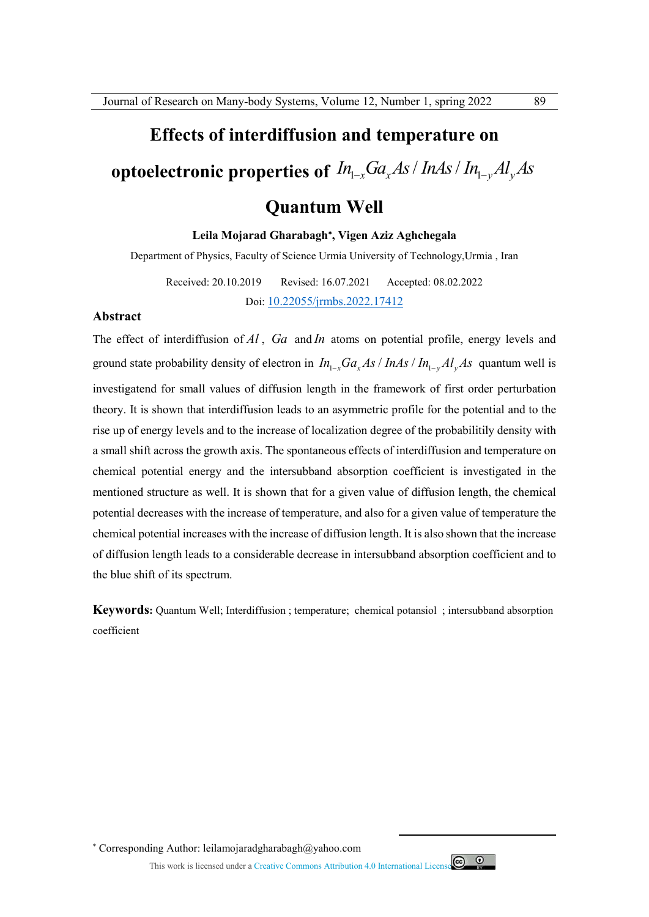## **Effects of interdiffusion and temperature on**

# **optoelectronic properties of**  $\mathit{In}_{\mathit{l-x}}\mathit{Ga}_{\mathit{x}}\mathit{As}/\mathit{In}_{\mathit{A}\mathit{S}}/\mathit{In}_{\mathit{l-y}}\mathit{Al}_{\mathit{y}}\mathit{As}$

## **Quantum Well**

#### **Leila Mojarad Gharabagh , Vigen Aziz Aghchegala**

Department of Physics, Faculty of Science Urmia University of Technology,Urmia , Iran

Received: 20.10.2019 Revised: 16.07.2021 Accepted: 08.02.2022 Doi: 10.22055/jrmbs.2022.17412

#### **Abstract**

The effect of interdiffusion of *Al* , *Ga* and *In* atoms on potential profile, energy levels and ground state probability density of electron in  $In_{1-x}Ga_xAs/InAs/In_{1-y}Al_yAs$  quantum well is investigatend for small values of diffusion length in the framework of first order perturbation theory. It is shown that interdiffusion leads to an asymmetric profile for the potential and to the rise up of energy levels and to the increase of localization degree of the probabilitily density with a small shift across the growth axis. The spontaneous effects of interdiffusion and temperature on chemical potential energy and the intersubband absorption coefficient is investigated in the mentioned structure as well. It is shown that for a given value of diffusion length, the chemical potential decreases with the increase of temperature, and also for a given value of temperature the chemical potential increases with the increase of diffusion length. It is also shown that the increase of diffusion length leads to a considerable decrease in intersubband absorption coefficient and to the blue shift of its spectrum.

**Keywords:** Quantum Well; Interdiffusion ; temperature; chemical potansiol ; intersubband absorption coefficient

Corresponding Author: leilamojaradgharabagh@yahoo.com

This work is licensed under a Creative Commons Attribution 4.0 International License



 $\overline{a}$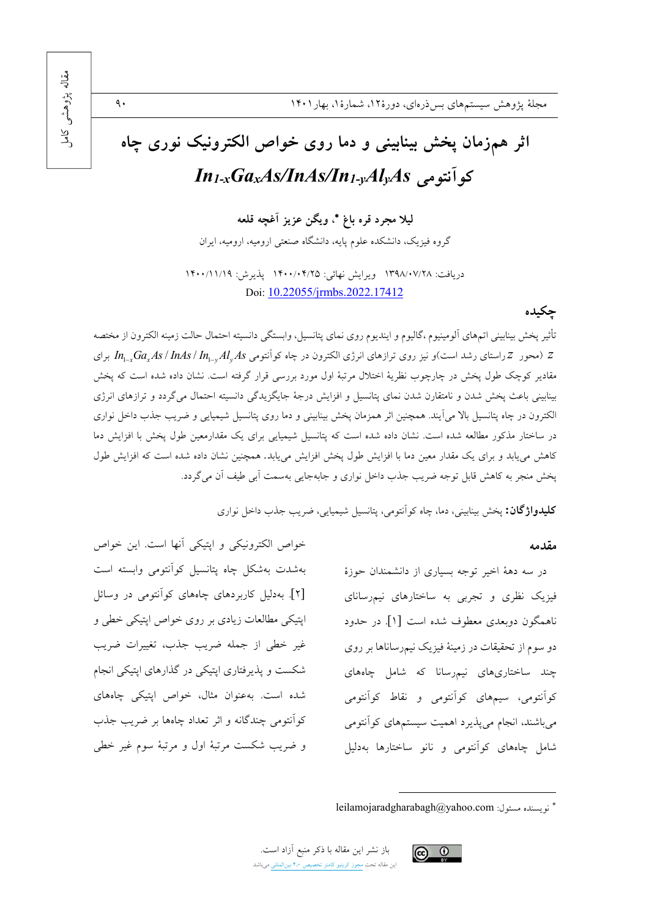# اثر همزمان پخش بینابینی و دما روی خواص الکترونیک نوری جاه كوآنتومى In<sub>1-x</sub>GaxAs/InAs/In<sub>1-y</sub>Al<sub>y</sub>As

ليلا مجرد قره باغ \*، ويگن عزيز آغجه قلعه

گروه فیزیک، دانشکده علوم پایه، دانشگاه صنعتی ارومیه، ارومیه، ایران

دريافت: ١٣٩٨/٠٧/٢٨ ويرايش نهائي: ١٤٠٠/٠۴/٢٥ يذيرش: ١۴٠٠/١١/١٩ Doi: 10.22055/jrmbs.2022.17412

چکیده

تأثير پخش بينابيني اتمهاى ألومينيوم ،گاليوم و اينديوم روى نماى پتانسيل، وابستگى دانسيته احتمال حالت زمينه الكترون از مختصه برای  $Z$  (محور  $Z$ راستای رشد است)و نیز روی ترازهای انرژی الکترون در چاه کوآنتومی In<sub>u-v</sub>Ga, $As/\In$ را $Z$  برای مقادیر کوچک طول یخش در چارچوب نظریهٔ اختلال مرتبهٔ اول مورد بررسی قرار گرفته است. نشان داده شده است که یخش بینابینی باعث پخش شدن و نامتقارن شدن نمای پتانسیل و افزایش درجهٔ جایگزیدگی دانسیته احتمال میگردد و ترازهای انرژی الکترون در چاه پتانسیل بالا می آیند. همچنین اثر همزمان پخش بینابینی و دما روی پتانسیل شیمیایی و ضریب جذب داخل نواری در ساختار مذکور مطالعه شده است. نشان داده شده است که پتانسیل شیمیایی برای یک مقدارمعین طول یخش با افزایش دما کاهش می یابد و برای یک مقدار معین دما با افزایش طول پخش افزایش می یابد. همچنین نشان داده شده است که افزایش طول پخش منجر به کاهش قابل توجه ضریب جذب داخل نواری و جابهجایی بهسمت آبی طیف آن می گردد.

**کلیدواژگان:** پخش بینابینی، دما، چاه کواَنتومی، پتانسیل شیمیایی، ضریب جذب داخل نواری

#### مقدمه

در سه دههٔ اخیر توجه بسیاری از دانشمندان حوزهٔ فیزیک نظری و تجربی به ساختارهای نیم رسانای ناهمگون دوبعدی معطوف شده است [۱] در حدود دو سوم از تحقیقات در زمینهٔ فیزیک نیمرساناها بر روی چند ساختاریهای نیمرسانا که شامل چاههای کواَنتومی، سیمهای کواَنتومی و نقاط کواَنتومی می باشند، انجام می پذیرد اهمیت سیستمهای کوآنتومی شامل چاههای کوآنتومی و نانو ساختارها بهدلیل

خواص الكترونيكي و اپتيكي آنها است. اين خواص بهشدت بهشكل چاه پتانسيل كوأنتومى وابسته است [۲]. بهدلیل کاربردهای چاههای کوآنتومی در وسائل اپتیکی مطالعات زیادی بر روی خواص اپتیکی خطی و غیر خطی از جمله ضریب جذب، تغییرات ضریب شکست و پذیرفتاری اپتیکی در گذارهای اپتیکی انجام شده است. به عنوان مثال، خواص اپتیکی چاههای كوانتومي چندگانه و اثر تعداد چاهها بر ضريب جذب و ضريب شكست مرتبهٔ اول و مرتبهٔ سوم غير خطي



 $\ddot{\mathsf{a}}$ .

leilamojaradgharabagh@yahoo.com : نو يسنده مسئول: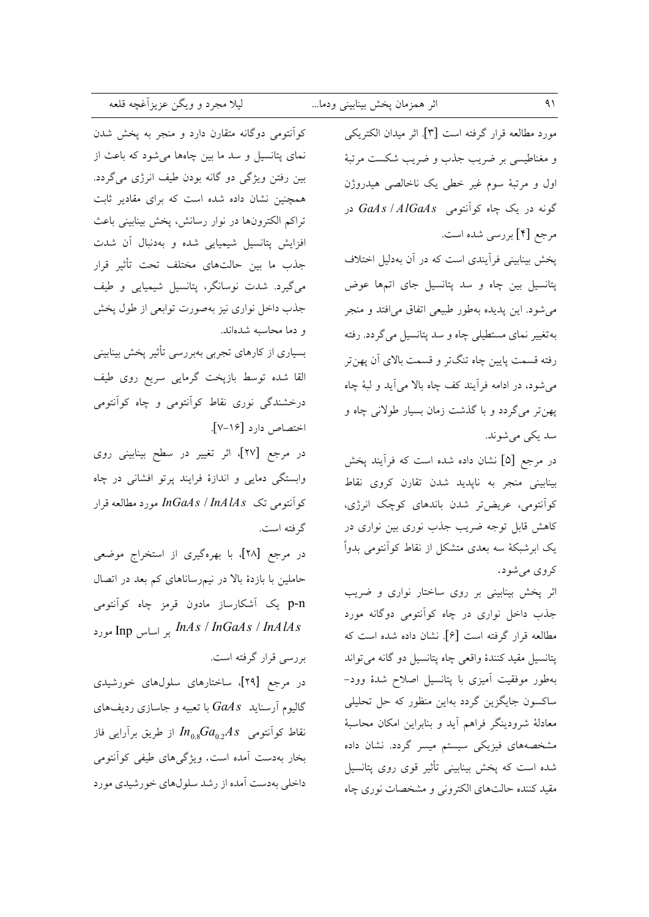| اثر همزمان پخش بینابینی ودما |  |  |  |
|------------------------------|--|--|--|
|------------------------------|--|--|--|

ليلا مجرد و ويگن عزيزآغچه قلعه

کوآنتومی دوگانه متقارن دارد و منجر به پخش شدن نمای پتانسیل و سد ما بین چاهها می شود که باعث از بین رفتن ویژگی دو گانه بودن طیف انرژی میگردد. همچنین نشان داده شده است که برای مقادیر ثابت تراكم الكترونها در نوار رسانش، يخش بينابيني باعث افزایش پتانسیل شیمیایی شده و بهدنبال آن شدت جذب ما بين حالتهاى مختلف تحت تأثير قرار می گیرد. شدت نوسانگر، پتانسیل شیمیایی و طیف جذب داخل نواری نیز بهصورت توابعی از طول پخش و دما محاسبه شدهاند.

بسیاری از کارهای تجربی بهبررسی تأثیر یخش بینابینی القا شده توسط بازپخت گرمایی سریع روی طیف درخشندگی نوری نقاط کوأنتومی و چاه کوأنتومی اختصاص دارد [۱۶-۷].

در مرجع [۲۷]، اثر تغییر در سطح بینابینی روی وابستگی دمایی و اندازهٔ فرایند پرتو افشانی در چاه كوآنتومي تك InGaAs / InAlAs مورد مطالعه قرار گرفته است.

در مرجع [۲۸]، با بهرهگیری از استخراج موضعی حاملین با بازدهٔ بالا در نیمرساناهای کم بعد در اتصال p-n یک آشکارساز مادون قرمز چاه کوآنتومی Ing ورد Inds / InGaAs / InAlAs

بررسی قرار گرفته است.

در مرجع [۲۹]، ساختارهای سلولهای خورشیدی گالیوم آرسناید  $G a\overline{A}s$  با تعبیه و جاسازی ردیفهای نقاط کوآنتومی  $a_{0.2}A$  از طریق برآرایی فاز بخار بهدست آمده است. ویژگیهای طیفی کوآنتومی داخلی بهدست آمده از رشد سلولهای خورشیدی مورد

مورد مطالعه قرار گرفته است [۳]. اثر میدان الکتریکی و مغناطیسی بر ضریب جذب و ضریب شکست مرتبهٔ اول و مرتبهٔ سوم غیر خطی یک ناخالصی هیدروژن گونه در یک چاه کوآنتومی GaAs / AlGaAs در مرجع [۴] بررسی شده است.

پخش بینابینی فرأیندی است که در آن بهدلیل اختلاف پتانسیل بین چاه و سد پتانسیل جای اتمها عوض می شود. این پدیده بهطور طبیعی اتفاق می افتد و منجر بهتغییر نمای مستطیلی چاه و سد پتانسیل میگردد. رفته رفته قسمت پایین چاه تنگتر و قسمت بالای آن پهنتر می شود، در ادامه فرآیند کف چاه بالا می آید و لبهٔ چاه پهنتر ميگردد و با گذشت زمان بسيار طولاني چاه و سلہ یکے مے شوند.

در مرجع [۵] نشان داده شده است که فرآیند پخش بینابینی منجر به ناپدید شدن تقارن کروی نقاط کوانتومی، عریضتر شدن باندهای کوچک انرژی، کاهش قابل توجه ضریب جذب نوری بین نواری در یک ابرشبکهٔ سه بعدی متشکل از نقاط کوآنتومی بدواً کروی می شود.

اثر پخش بینابینی بر روی ساختار نواری و ضریب جذب داخل نواری در چاه کوآنتومی دوگانه مورد مطالعه قرار گرفته است [۶]. نشان داده شده است که پتانسیل مقید کنندهٔ واقعی چاه پتانسیل دو گانه می تواند بهطور موفقیت آمیزی با پتانسیل اصلاح شدهٔ وود-ساکسون جایگزین گردد بهاین منظور که حل تحلیلی معادلهٔ شرودینگر فراهم آید و بنابراین امکان محاسبهٔ مشخصههای فیزیکی سیستم میسر گردد. نشان داده شده است که پخش بینابینی تأثیر قوی روی پتانسیل مقید کننده حالتهای الکترونی و مشخصات نوری چاه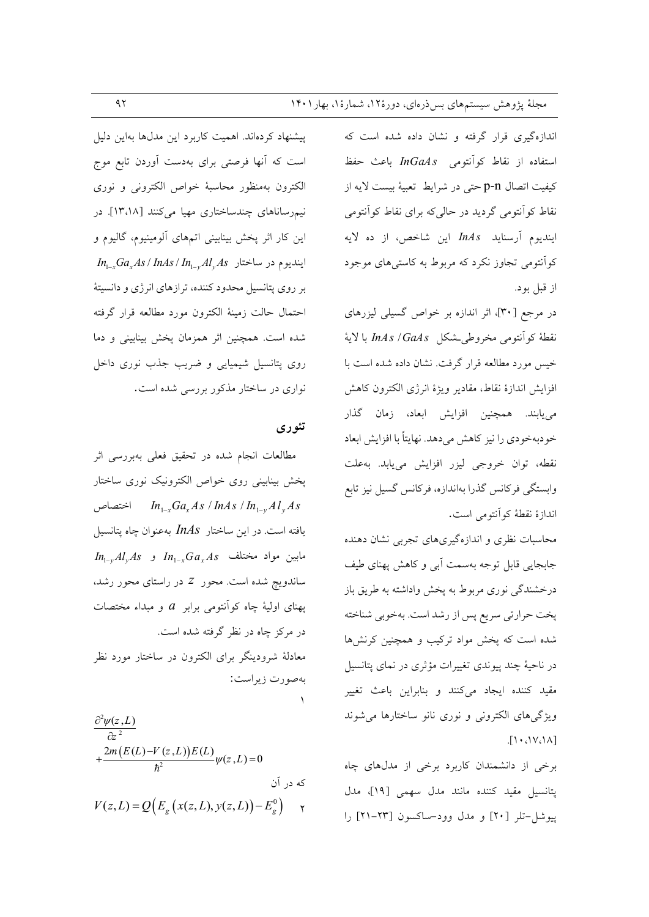اندازهگیری قرار گرفته و نشان داده شده است که استفاده از نقاط کوآنتومی InGaAs باعث حفظ كيفيت اتصال p-n حتى در شرايط تعبيهٔ بيست لايه از نقاط کوأنتومی گردید در حالی که برای نقاط کوأنتومی اينديوم آرسنايد InAs اين شاخص، از ده لايه کوآنتومی تجاوز نکرد که مربوط به کاستی های موجود از قبل بود.

در مرجع [۳۰]، اثر اندازه بر خواص گسیلی لیزرهای نقطة كوآنتومي مخروطي شكل InAs / GaAs با لاية خیس مورد مطالعه قرار گرفت. نشان داده شده است با افزايش اندازة نقاط، مقادير ويژة انرژى الكترون كاهش مي يابند. همچنين افزايش ابعاد، زمان گذار خودبهخودي را نيز كاهش مىدهد. نهايتاً با افزايش ابعاد نقطه، توان خروجي ليزر افزايش مي يابد. به علت وابستگی فرکانس گذرا بهاندازه، فرکانس گسیل نیز تابع اندازة نقطة كوأنتومي است.

محاسبات نظری و اندازهگیریهای تجربی نشان دهنده جابجایی قابل توجه بهسمت آبی و کاهش پهنای طیف درخشندگی نوری مربوط به پخش واداشته به طریق باز پخت حرارتی سریع پس از رشد است. بهخوبی شناخته شده است که پخش مواد ترکیب و همچنین کرنشها در ناحیهٔ چند پیوندی تغییرات مؤثری در نمای پتانسیل مقید کننده ایجاد میکنند و بنابراین باعث تغییر ویژگیهای الکترونی و نوری نانو ساختارها می شوند  $\left[1.001\right]$ 

برخی از دانشمندان کاربرد برخی از مدلهای چاه پتانسیل مقید کننده مانند مدل سهمی [١٩]، مدل یبوشل-تلر [۲۰] و مدل وود-ساکسون [۲۳-۲۱] را

پیشنهاد کردهاند. اهمیت کاربرد این مدلها بهاین دلیل است که آنها فرصتی برای بهدست آوردن تابع موج الكترون بهمنظور محاسبة خواص الكتروني ونورى نیمرساناهای چندساختاری مهیا میکنند [۱۳،۱۸]. در این کار اثر پخش بینابینی اتمهای آلومینیوم، گالیوم و  $In_{1-x}Ga_xAs/InAs/In_{1-y}Al_vAs$  ایندیوم در ساختار  $In_{1-x}$ بر روی پتانسیل محدود کننده، ترازهای انرژی و دانسیتهٔ احتمال حالت زمينة الكترون مورد مطالعه قرار گرفته شده است. همچنین اثر همزمان پخش بینابینی و دما روی پتانسیل شیمیایی و ضریب جذب نوری داخل نواری در ساختار مذکور بررسی شده است.

#### تئوري

مطالعات انجام شده در تحقیق فعلی بهبررسی اثر پخش بینابینی روی خواص الکترونیک نوری ساختار اختصاص $ln_{1-x}Ga_xAs$  /  $lnAs$  /  $ln_{1-x}Al_vAs$ یافته است. در این ساختار InAs بهعنوان چاه پتانسیل  $I_{n_{1-v}}Al_{v}As$  مابین مواد مختلف  $I_{n_{1-v}}Ga_{v}As$  و ساندویچ شده است. محور Z در راستای محور رشد، پهنای اولیهٔ چاه کوآنتومی برابر  $a$  و مبداء مختصات در مرکز چاه در نظر گرفته شده است. معادلهٔ شرودینگر برای الکترون در ساختار مورد نظر

بهصورت زيراست:

$$
\frac{\partial^2 \psi(z, L)}{\partial z^2} + \frac{2m(E(L)-V(z, L))E(L)}{\hbar^2} \psi(z, L) = 0
$$
\n
$$
V(z, L) = Q\Big(E_g\big(x(z, L), y(z, L)\big) - E_g^0\Big) \quad \gamma
$$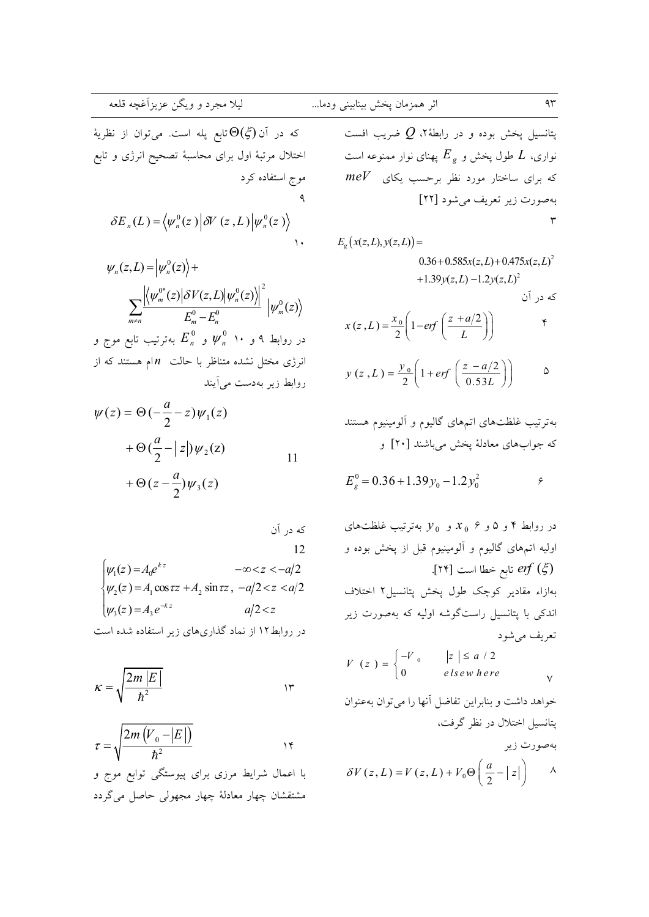...  
\n
$$
\frac{1}{2}
$$
\n
$$
\frac{1}{2}
$$
\n
$$
\frac{1}{2}
$$
\n
$$
\frac{1}{2}
$$
\n
$$
\frac{1}{2}
$$
\n
$$
\frac{1}{2}
$$
\n
$$
\frac{1}{2}
$$
\n
$$
\frac{1}{2}
$$
\n
$$
\frac{1}{2}
$$
\n
$$
\frac{1}{2}
$$
\n
$$
\frac{1}{2}
$$
\n
$$
\frac{1}{2}
$$
\n
$$
\frac{1}{2}
$$
\n
$$
\frac{1}{2}
$$
\n
$$
\frac{1}{2}
$$
\n
$$
\frac{1}{2}
$$
\n
$$
\frac{1}{2}
$$
\n
$$
\frac{1}{2}
$$
\n
$$
\frac{1}{2}
$$
\n
$$
\frac{1}{2}
$$
\n
$$
\frac{1}{2}
$$
\n
$$
\frac{1}{2}
$$
\n
$$
\frac{1}{2}
$$
\n
$$
\frac{1}{2}
$$
\n
$$
\frac{1}{2}
$$
\n
$$
\frac{1}{2}
$$
\n
$$
\frac{1}{2}
$$
\n
$$
\frac{1}{2}
$$
\n
$$
\frac{1}{2}
$$
\n
$$
\frac{1}{2}
$$
\n
$$
\frac{1}{2}
$$
\n
$$
\frac{1}{2}
$$
\n
$$
\frac{1}{2}
$$
\n
$$
\frac{1}{2}
$$
\n
$$
\frac{1}{2}
$$
\n
$$
\frac{1}{2}
$$
\n
$$
\frac{1}{2}
$$
\n
$$
\frac{1}{2}
$$
\n
$$
\frac{1}{2}
$$
\n
$$
\frac{1}{2}
$$
\n
$$
\frac{1}{2}
$$
\n
$$
\frac{1}{2}
$$
\n
$$
\frac{1}{2}
$$
\n
$$
\frac{1}{2}
$$
\n
$$
\frac{1}{2}
$$
\n
$$
\frac{1}{2}
$$
\n
$$
\frac{1}{2}
$$
\n
$$
\frac{1}{2}
$$
\n
$$
\frac{1}{2}
$$
\n
$$
\frac{1}{2}
$$
\n
$$
\frac{1}{
$$

$$
\psi_n(z, L) = \left| \psi_n^0(z) \right\rangle +
$$
\n
$$
\sum_{m \neq n} \frac{\left| \left\langle \psi_m^{0*}(z) \middle| \delta V(z, L) \middle| \psi_n^0(z) \right\rangle \right|^2}{E_m^0 - E_n^0} \left| \psi_m^0(z) \right\rangle
$$
\nso, we get

\n
$$
E_n^0 \circ \psi_n^0 \circ \psi_n^0 \circ \psi_n^0 \circ \psi_n^0
$$
\nto, we will use

\n
$$
E_n^0 \circ \psi_n^0 \circ \psi_n^0 \circ \psi_n^0
$$
\nto, we have

\n
$$
E_n^0 \circ \psi_n^0 \circ \psi_n^0
$$
\nto, we have

\n
$$
E_n^0 \circ \psi_n^0 \circ \psi_n^0
$$
\nto, we have

\n
$$
E_n^0 \circ \psi_n^0 \circ \psi_n^0
$$
\nto, we have

\n
$$
E_n^0 \circ \psi_n^0
$$
\nto, we have

\n
$$
E_n^0 \circ \psi_n^0
$$
\nto, we have

\n
$$
E_n^0 \circ \psi_n^0
$$
\nto, we have

\n
$$
E_n^0 \circ \psi_n^0
$$
\nto, we have

\n
$$
E_n^0 \circ \psi_n^0
$$
\nto, we have

\n
$$
E_n^0 \circ \psi_n^0
$$
\nto, we have

\n
$$
E_n^0 \circ \psi_n^0
$$
\nto, we have

\n
$$
E_n^0 \circ \psi_n^0
$$
\nto, we have

\n
$$
E_n^0 \circ \psi_n^0
$$
\nto, we have

\n
$$
E_n^0 \circ \psi_n^0
$$
\nto, we have

\n
$$
E_n^0 \circ \psi_n^0
$$
\nto, we have

\n
$$
E_n^0 \circ \psi_n^0
$$
\nto, we have

\n
$$
E_n^0 \circ \psi_n^0
$$
\nto, we have

\n
$$
E_n^0 \circ \psi_n^0
$$

$$
\psi(z) = \Theta\left(-\frac{a}{2} - z\right)\psi_1(z)
$$

$$
+ \Theta\left(\frac{a}{2} - |z|\right)\psi_2(z)
$$

$$
+ \Theta\left(z - \frac{a}{2}\right)\psi_3(z)
$$
11

که در آن  
\n12  
\n
$$
\begin{cases}\n\psi_1(z) = A_0 e^{kz} & -\infty < z < -a/2 \\
\psi_2(z) = A_1 \cos \tau z + A_2 \sin \tau z, & -a/2 < z < a/2 \\
\psi_3(z) = A_3 e^{-kz} & a/2 < z\n\end{cases}
$$

$$
\kappa = \sqrt{\frac{2m|E|}{\hbar^2}}
$$

$$
\tau = \sqrt{\frac{2m\left(V_{0} - |E|\right)}{\hbar^{2}}}
$$

با اعمال شرایط مرزی برای پیوستگی توابع موج و مشتقشان چهار معادلهٔ چهار مجهولی حاصل میگردد

پتانسیل پخش بوده و در رابطهٔ۲،  $Q$  ضریب افست نواری،  $L$  طول پخش و  $E_{_S}$  پهنای نوار ممنوعه است  $\emph{meV}$  که برای ساختار مورد نظر برحسب یکای بهصورت زير تعريف مي شود [٢٢]  $\mathsf{r}$  $E_{\rho}(x(z,L),y(z,L)) =$ 

$$
(2, L), y(2, L)) =
$$
  
0.36 + 0.585x(z, L) + 0.475x(z, L)<sup>2</sup>  
+1.39y(z, L) -1.2y(z, L)<sup>2</sup>  
 $\geq 0$ 

$$
x(z, L) = \frac{x_0}{2} \left( 1 - erf\left(\frac{z + a/2}{L}\right) \right)
$$

$$
y(z, L) = \frac{y_0}{2} \left( 1 + erf\left(\frac{z - a/2}{0.53L}\right) \right)
$$

بهترتيب غلظتهاى اتمهاى گاليوم و ألومينيوم هستند كه جوابهاي معادلة يخش مي باشند [٢٠] و

$$
E_g^0 = 0.36 + 1.39y_0 - 1.2y_0^2
$$

در روابط ۴ و ۵ و ۶  $x_0$  و  $y_0$  بهترتیب غلظتهای اولیه اتمهای گالیوم و آلومینیوم قبل از پخش بوده و آبع خطا است [۲۴]. T۴] بهازاء مقادير كوچك طول يخش يتانسيل٢ اختلاف اندکی با پتانسیل راستگوشه اولیه که بهصورت زیر تعریف میشود  $V(z) = \begin{cases} -V_0 & \vert z \vert \leq a/2 \\ 0 & \text{elsewhere} \end{cases}$  $\vee$ خواهد داشت و بنابراین تفاضل آنها را می توان بهعنوان یتانسیل اختلال در نظر گرفت، بەصورت زير  $\delta V(z, L) = V(z, L) + V_0 \Theta \left( \frac{a}{2} - |z| \right) \quad \Lambda$ 

$$
\mathfrak{q}\mathfrak{r}
$$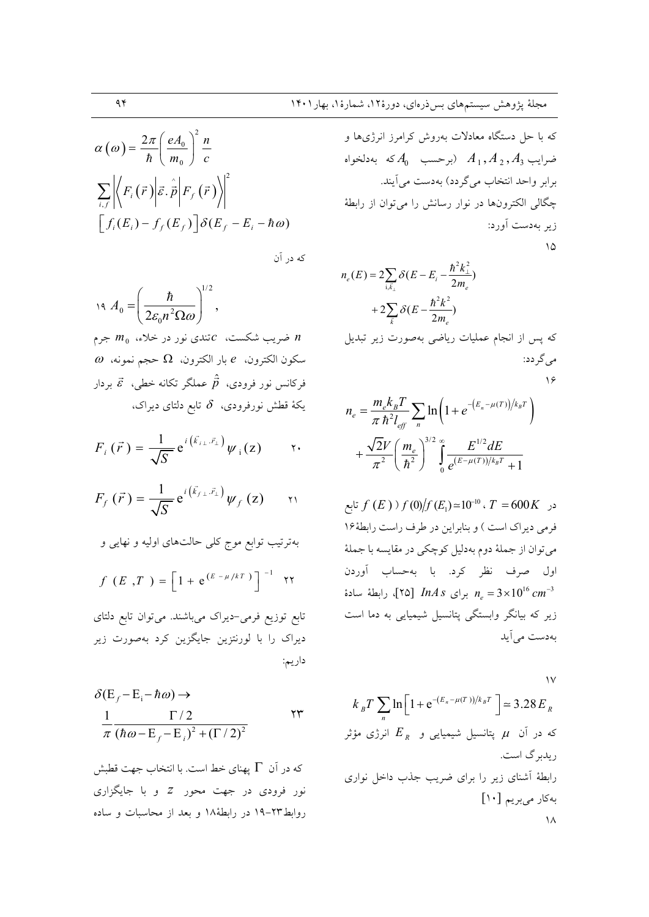$$
\alpha(\omega) = \frac{2\pi}{\hbar} \left( \frac{eA_0}{m_0} \right)^2 \frac{n}{c}
$$

$$
\sum_{i,f} \left| \left\langle F_i(\vec{r}) \middle| \vec{\varepsilon} \cdot \hat{\vec{p}} \middle| F_f(\vec{r}) \right\rangle \right|^2
$$

$$
\left[ f_i(E_i) - f_f(E_f) \right] \delta(E_f - E_i - \hbar \omega)
$$

که در آن

$$
19. A_0 = \left(\frac{\hbar}{2\varepsilon_0 n^2 \Omega \omega}\right)^{1/2},
$$
  

$$
m_0 \approx m_0 \text{ for all } \omega = 0 \text{ and } n
$$
  

$$
\omega = \Omega \text{ for all } \omega = 0 \text{ and } n
$$

فرکانس نور فرودی،  $\hat{\vec{p}}$  عملگر تکانه خطی،  $\vec{s}$  بردار یکهٔ قطش نورفرودی،  $\,\delta\,$  تابع دلتای دیراک،

$$
F_i(\vec{r}) = \frac{1}{\sqrt{S}} e^{i(\vec{k}_{i\perp} \cdot \vec{r}_{\perp})} \psi_i(z) \qquad \gamma.
$$

$$
F_f(\vec{r}) = \frac{1}{\sqrt{S}} e^{i(\vec{k}_{f\perp} \cdot \vec{r}_{\perp})} \psi_f(z) \qquad \text{in}
$$

بەترتیب توابع موج کلی حالتھای اولیه و نھایی و  
\n
$$
f(E, T) = \left[1 + e^{(E - \mu/kT)}\right]^{-1} \quad \text{YY}
$$

تابع توزیع فرمی-دیراک میباشند. میتوان تابع دلتای دیراک را با لورنتزین جایگزین کرد بهصورت زیر داريم:

$$
\delta(E_f - E_i - \hbar \omega) \rightarrow
$$
  
\n
$$
\frac{1}{\pi} \frac{\Gamma/2}{(\hbar \omega - E_f - E_i)^2 + (\Gamma/2)^2}
$$
\nYY

که در آن  $\Gamma$  یهنای خط است. با انتخاب جهت قطبش نور فرودی در جهت محور Z و با جایگزاری روابط۲۳–۱۹ در رابطهٔ۱۸ و بعد از محاسبات و ساده

که با حل دستگاه معادلات بەروش کرامرز انرژیها و  
ضرایب 
$$
A_1, A_2, A_3
$$
 (برحسب 40 که بەدلخواه  
برابر واحد انتخاب میگرده) بهدست میآیند.  
چگالی الکترونها در نوار رسانش را میتوان از رابطهٔ  
زیر بهدست آورد:

$$
n_e(E) = 2\sum_{i,\bar{k}_\perp} \delta(E - E_i - \frac{\hbar^2 k_\perp^2}{2m_e})
$$
  
+2 $\sum_{\bar{k}} \delta(E - \frac{\hbar^2 k^2}{2m_e})$   
2 $\sum_{\bar{k}}$  or  $\sum_{\bar{k}$ 

$$
\setminus \varphi
$$

$$
n_e = \frac{m_e k_B T}{\pi \hbar^2 l_{eff}} \sum_n \ln \left( 1 + e^{-(E_n - \mu(T))/k_B T} \right)
$$

$$
+ \frac{\sqrt{2}V}{\pi^2} \left( \frac{m_e}{\hbar^2} \right)^{3/2} \int_0^\infty \frac{E^{1/2} dE}{e^{(E - \mu(T))/k_B T} + 1}
$$

 $f(E)$  در  $f(E)$   $f(0)/f(E_1) \approx 10^{-10}$  ،  $T = 600K$  نابع فرمی دیراک است ) و بنابراین در طرف راست رابطهٔ۱۶ مي توان از جملهٔ دوم بهدليل كوچكي در مقايسه با جملهٔ اول صرف نظر کرد. با بهحساب آوردن برای InAs برای  $lnAs \,$  (۲۵) رابطهٔ سادهٔ  $n_e = 3 \times 10^{16} \, cm^{-3}$ زیر که بیانگر وابستگی پتانسیل شیمیایی به دما است بەدست مى آيد

 $\sqrt{}$ 

$$
k_B T \sum_n \ln \left[ 1 + e^{-(E_n - \mu(T))/k_B T} \right] = 3.28 E_R
$$
  
که در آن  $\mu$  پتانسیل شیمیایی و  $E_R$   
ریدبرگ است.  
رایلطهٔ آشنای زیر را برای ضریب جذب داخل نواری  
بهکار میبریم [1•]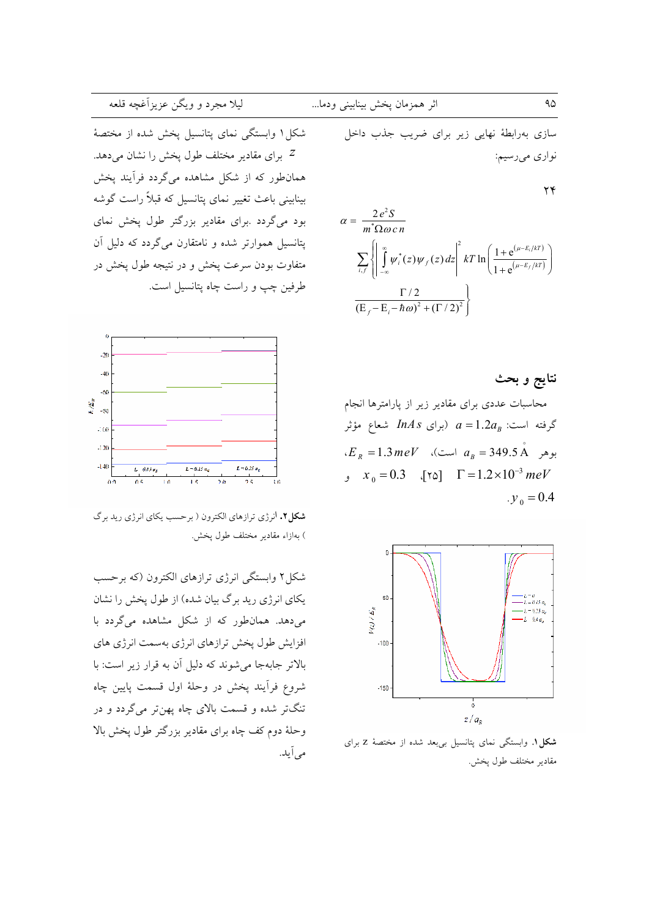## ليلا مجرد و ويگن عزيزآغچه قلعه

شکل ۱ وابستگی نمای پتانسیل پخش شده از مختصهٔ برای مقادیر مختلف طول پخش را نشان می دهد. " همانطور که از شکل مشاهده میگردد فرآیند پخش بینابینی باعث تغییر نمای پتانسیل که قبلاً راست گوشه بود می گردد .برای مقادیر بزرگتر طول یخش نمای پتانسیل هموارتر شده و نامتقارن میگردد که دلیل آن متفاوت بودن سرعت يخش و در نتيجه طول پخش در طرفين چپ و راست چاه پتانسيل است.



شکل۲. انرژی ترازهای الکترون ( برحسب یکای انرژی رید برگ ) بەازاء مقادىر مختلف طول پخش.

شکل۲ وابستگی انرژی ترازهای الکترون (که برحسب یکای انرژی رید برگ بیان شده) از طول پخش را نشان می دهد. همانطور که از شکل مشاهده میگردد با افزایش طول یخش ترازهای انرژی بهسمت انرژی های بالاتر جابهجا می شوند که دلیل آن به قرار زیر است: با شروع فرأيند پخش در وحلهٔ اول قسمت پايين چاه تنگتر شده و قسمت بالای چاه پهنتر میگردد و در وحلهٔ دوم کف چاه برای مقادیر بزرگتر طول پخش بالا می آید.

سازی بهرابطهٔ نهایی زیر برای ضریب جذب داخل نواري ميرسيم:

 $\mathbf{y}$ 

$$
\alpha = \frac{2e^2S}{m^*\Omega \omega c n}
$$
  

$$
\sum_{i,f} \left\{ \left| \int_{-\infty}^{\infty} \psi_i^*(z) \psi_f(z) dz \right|^2 kT \ln \left( \frac{1 + e^{(\mu - E_i/kT)}}{1 + e^{(\mu - E_f/kT)}} \right) \right\}
$$
  

$$
\frac{\Gamma/2}{(E_f - E_i - \hbar \omega)^2 + (\Gamma/2)^2} \right\}
$$

نتايج و بحث

محاسبات عددى براى مقادير زير از پارامترها انجام گرفته است:  $a = 1.2a_B$  (برای InAs شعاع مؤثر  $E_R = 1.3 \, meV$  (بوهر  $a_R = 349.5 \, \text{\AA}$  است.  $x_0 = 0.3$   $[\text{rad} \quad \Gamma = 1.2 \times 10^{-3} \text{ meV}$  $v_0 = 0.4$ 



شکل ۱. وابستگی نمای پتانسیل بیبعد شده از مختصهٔ Z برای مقادير مختلف طول يخش.

۹۵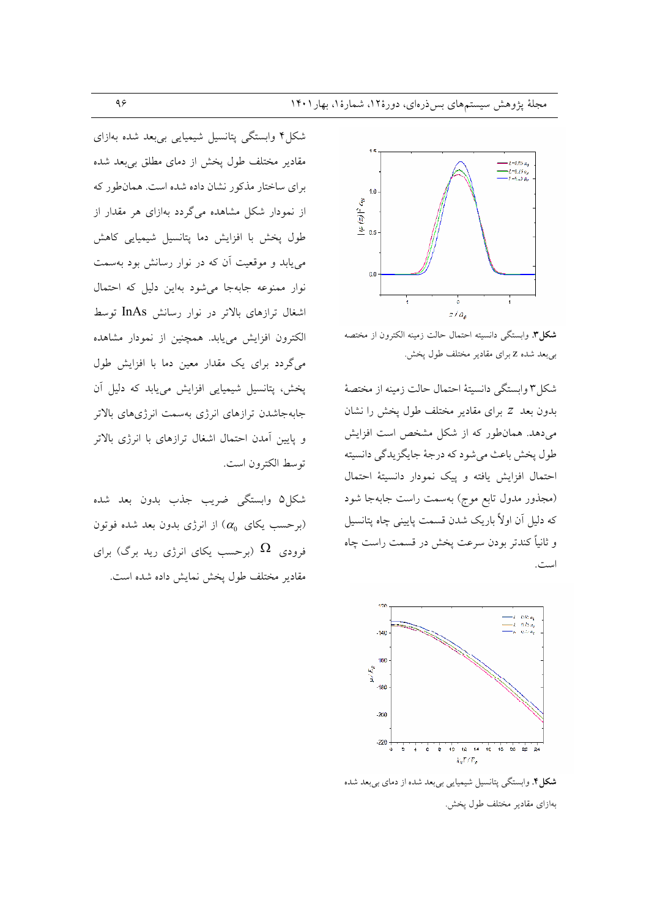

شكل". وابستگى دانسيته احتمال حالت زمينه الكترون از مختصه بی بعد شده Z برای مقادیر مختلف طول پخش.

شکل۳ وابستگی دانسیتهٔ احتمال حالت زمینه از مختصهٔ بدون بعد Z برای مقادیر مختلف طول یخش را نشان می دهد. همان طور که از شکل مشخص است افزایش طول پخش باعث مي شود كه درجهٔ جايگزيدگي دانسيته احتمال افزایش یافته و پیک نمودار دانسیتهٔ احتمال (مجذور مدول تابع موج) بهسمت راست جابهجا شود که دلیل اَن اولاً باریک شدن قسمت پایینی چاه پتانسیل و ثانياً كندتر بودن سرعت يخش در قسمت راست چاه است.



**شکل؟** وابستگی پتانسیل شیمیایی بیبعد شده از دمای بیبعد شده بهازای مقادیر مختلف طول یخش.

شکل۴ وابستگی پتانسیل شیمیایی بیبعد شده بهازای مقادیر مختلف طول پخش از دمای مطلق بیبعد شده برای ساختار مذکور نشان داده شده است. همان طور که از نمودار شکل مشاهده میگردد بهازای هر مقدار از طول يخش با افزايش دما يتانسيل شيميايي كاهش می یابد و موقعیت آن که در نوار رسانش بود بهسمت نوار ممنوعه جابهجا میشود بهاین دلیل که احتمال اشغال ترازهای بالاتر در نوار رسانش InAs توسط الكترون افزايش مى يابد. همچنين از نمودار مشاهده می گردد برای یک مقدار معین دما با افزایش طول یخش، پتانسیل شیمیایی افزایش می یابد که دلیل آن جابهجاشدن ترازهاى انرژى بهسمت انرژىهاى بالاتر و یایین آمدن احتمال اشغال ترازهای با انرژی بالاتر توسط الكترون است.

شكل۵ وابستگي ضريب جذب بدون بعد شده برحسب یکای  $(\alpha_0)$  از انرژی بدون بعد شده فوتون فرودی  $\Omega$  (برحسب یکای انرژی رید برگ) برای مقادير مختلف طول پخش نمايش داده شده است.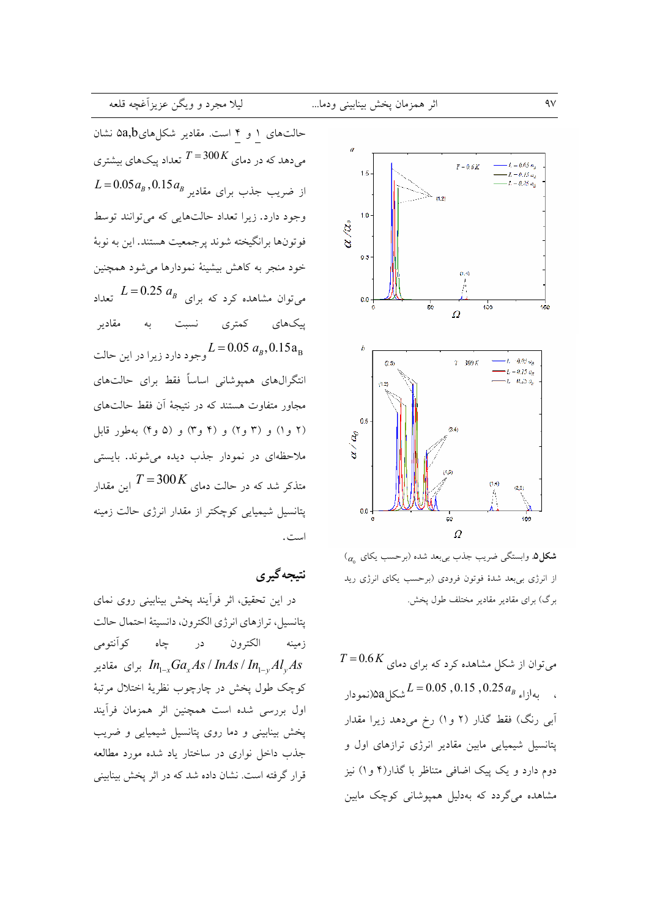حالتهای ۱ و ۴ است. مقادیر شکلهای۵a,b نشان میدهد که در دمای  $K$ 300 $T$  تعداد پیکهای بیشتری  $L = 0.05a_B$ , از ضریب جذب برای مقادیر  $L = 0.05a_B$ وجود دارد. زیرا تعداد حالتهایی که می توانند توسط فوتونها برانگيخته شوند پرجمعيت هستند. اين به نوبهٔ خود منجر به كاهش بيشينهٔ نمودارها مى شود همچنين  $L = 0.25$   $a_B$  میتوان مشاهده کرد که برای  $L = 0.25$  تعداد پېکھای کمتری مقاديه ىە نسبت  $L = 0.05~a_{\rm B}, 0.15{\rm a}_{\rm B}$ وجود دارد زيرا در اين حالت انتگرال،های همپوشانی اساساً فقط برای حالتهای مجاور متفاوت هستند که در نتیجهٔ آن فقط حالتهای (۲ و۱) و (۳ و۲) و (۴ و۳) و (۵ و۴) بهطور قابل ملاحظهای در نمودار جذب دیده می شوند. بایستی متذکر شد که در حالت دمای  $T\!=\!300K$ این مقدار  $T\!=\!300K$ یتانسیل شیمیایی کوچکتر از مقدار انرژی حالت زمینه است.

### نتيجه گير ي

در این تحقیق، اثر فرأیند پخش بینابینی روی نمای يتانسيل، ترازهاي انرژى الكترون، دانسيتهٔ احتمال حالت در جاه کوآنتومی الكترون زمينه برای مقادیر  $In_{1-x}Ga_xAs/InAs/In_{1-y}Al_vAs$ كوچک طول پخش در چارچوب نظريهٔ اختلال مرتبهٔ اول بررسی شده است همچنین اثر همزمان فرأیند پخش بینابینی و دما روی پتانسیل شیمیایی و ضریب جذب داخل نواری در ساختار یاد شده مورد مطالعه قرار گرفته است. نشان داده شد که در اثر پخش بینابینی



 $\sigma_{\alpha}$ شکل ۰. وابستگی ضریب جذب بیبعد شده (برحسب یکای از انرژی بیبعد شدهٔ فوتون فرودی (برحسب یکای انرژی رید برگ) برای مقادیر مقادیر مختلف طول یخش.

 $T\!=\!0.6\,K$  میتوان از شکل مشاهده کرد که برای دمای  $L = 0.05$  ,  $0.15$  ,  $0.25 a_B$  (نمودار آبی رنگ) فقط گذار (۲ و۱) رخ میدهد زیرا مقدار پتانسیل شیمیایی مابین مقادیر انرژی ترازهای اول و دوم دارد و یک پیک اضافی متناظر با گذار(۴ و ۱) نیز مشاهده میگردد که بهدلیل همپوشانی کوچک مابین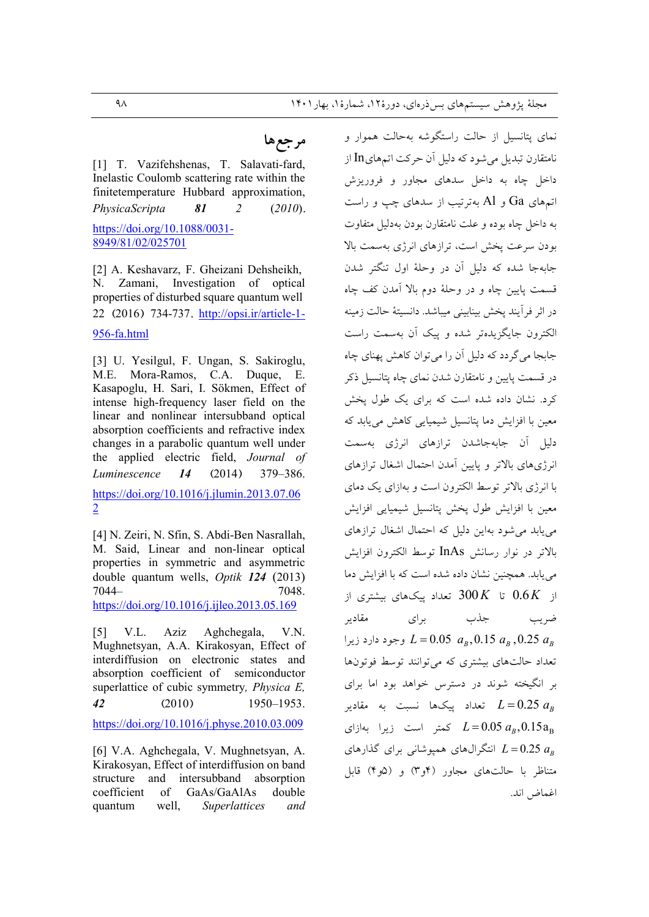## مرجعها

[1] T. Vazifehshenas, T. Salavati-fard, Inelastic Coulomb scattering rate within the finitetemperature Hubbard approximation, PhysicaScripta 81  $\overline{2}$  $(2010).$ https://doi.org/10.1088/0031-

8949/81/02/025701

[2] A. Keshavarz, F. Gheizani Dehsheikh, N. Zamani, Investigation of optical properties of disturbed square quantum well 22 (2016) 734-737. http://opsi.ir/article-1-

#### 956-fa.html

[3] U. Yesilgul, F. Ungan, S. Sakiroglu, M.E. Mora-Ramos, C.A. Duque, E. Kasapoglu, H. Sari, I. Sökmen, Effect of intense high-frequency laser field on the linear and nonlinear intersubband optical absorption coefficients and refractive index changes in a parabolic quantum well under the applied electric field, Journal of Luminescence  $14$  $(2014)$ 379-386. https://doi.org/10.1016/j.jlumin.2013.07.06  $\overline{2}$ 

[4] N. Zeiri, N. Sfin, S. Abdi-Ben Nasrallah, M. Said, Linear and non-linear optical properties in symmetric and asymmetric double quantum wells, Optik 124 (2013)  $7044-$ 7048. https://doi.org/10.1016/j.ijleo.2013.05.169

V.L. Aziz Aghchegala, V.N.  $\lceil 5 \rceil$ Mughnetsyan, A.A. Kirakosyan, Effect of interdiffusion on electronic states and absorption coefficient of semiconductor superlattice of cubic symmetry, *Physica E*,  $\overline{42}$  $(2010)$ 1950-1953.

https://doi.org/10.1016/i.physe.2010.03.009

[6] V.A. Aghchegala, V. Mughnetsyan, A. Kirakosyan, Effect of interdiffusion on band structure and intersubband absorption coefficient of GaAs/GaAlAs double Superlattices quantum well, and

نمای پتانسیل از حالت راستگوشه بهحالت هموار و نامتقارن تبدیل می شود که دلیل آن حرکت اتمهایIn از داخل چاه به داخل سدهای مجاور و فروریزش  $G$ اتمهای  $Ga$  و  $A1$  بهترتیب از سدهای چب و راست به داخل چاه بوده و علت نامتقارن بودن بهدلیل متفاوت بودن سرعت بخش است، ترازهای انرژی بهسمت بالا جابهجا شده که دلیل آن در وحلهٔ اول تنگتر شدن قسمت پایین چاه و در وحلهٔ دوم بالا آمدن کف چاه در اثر فرآیند یخش بینابینی میباشد. دانسیتهٔ حالت زمینه الکترون جایگزیدهتر شده و پیک آن بهسمت راست جابجا مي گر دد كه دليل آن را مي توان كاهش يهناي چاه در قسمت پایین و نامتقارن شدن نمای چاه پتانسیل ذکر کرد. نشان داده شده است که برای یک طول یخش معین با افزایش دما پتانسیل شیمیایی کاهش می پابد که دلیل آن جابهجاشدن ترازهای انرژی بهسمت انرژیهای بالاتر و پایین آمدن احتمال اشغال ترازهای با انرژی بالاتر توسط الکترون است و بهازای یک دمای معين با افزايش طول يخش يتانسيل شيميايي افزايش می بابد می شود بهاین دلیل که احتمال اشغال ترازهای بالاتر در نوار رسانش InAs توسط الكترون افزايش می یابد. همچنین نشان داده شده است که با افزایش دما از  $0.6K$  تا  $300K$  تعداد سکھای پشتری از مقادير بر ای جذب ضريب وجود دارد زيرا  $L = 0.05$   $a_R$ ,  $0.15$   $a_R$ ,  $0.25$   $a_R$ تعداد حالتهای پیشتری که مرتوانند توسط فوتونها بر انگیخته شوند در دسترس خواهد بود اما برای تعداد بیکها نسبت به مقادیر  $L = 0.25$   $a_{\scriptscriptstyle R}$ کمتر است زیرا بهازای  $L = 0.05 a_R, 0.15 a_R$ انتگرالهای همیوشانی برای گذارهای  $L = 0.25$   $a_{\scriptscriptstyle R}$ متناظر با حالتهای مجاور (۴و۳) و (۵و۴) قابل اغماض اند.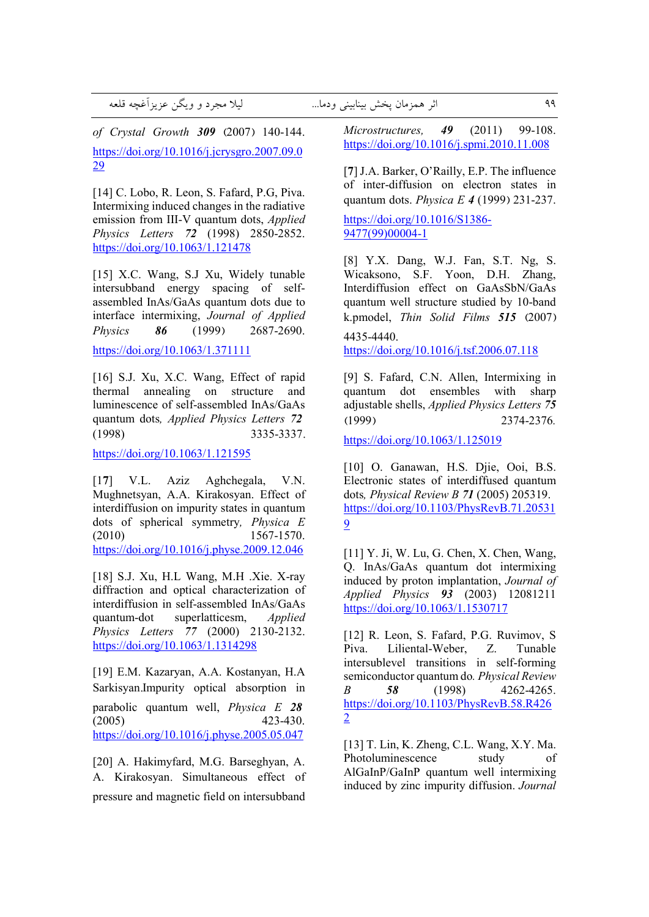,E^ ,bl&808C /D0 \* \- ... ;)) 
7 G8 \*Q 99

*of Crystal Growth 309* **(**2007**)** 140-144. https://doi.org/10.1016/j.jcrysgro.2007.09.0 29

[14] C. Lobo, R. Leon, S. Fafard, P.G, Piva. Intermixing induced changes in the radiative emission from III-V quantum dots, *Applied Physics Letters 72* (1998) 2850-2852. https://doi.org/10.1063/1.121478

[15] X.C. Wang, S.J Xu, Widely tunable intersubband energy spacing of selfassembled InAs/GaAs quantum dots due to interface intermixing, *Journal of Applied Physics 86* (1999**)** 2687-2690.

https://doi.org/10.1063/1.371111

[16] S.J. Xu, X.C. Wang, Effect of rapid thermal annealing on structure and luminescence of self-assembled InAs/GaAs quantum dots*, Applied Physics Letters 72* (1998) 3335-3337**.**

https://doi.org/10.1063/1.121595

[1**7**] V.L. Aziz Aghchegala, V.N. Mughnetsyan, A.A. Kirakosyan. Effect of interdiffusion on impurity states in quantum dots of spherical symmetry*, Physica E*  (2010) 1567-1570. https://doi.org/10.1016/j.physe.2009.12.046

[18] S.J. Xu, H.L Wang, M.H .Xie. X-ray diffraction and optical characterization of interdiffusion in self-assembled InAs/GaAs quantum-dot superlatticesm, *Applied Physics Letters 77* (2000) 2130-2132. https://doi.org/10.1063/1.1314298

[19] E.M. Kazaryan, A.A. Kostanyan, H.A Sarkisyan**.**Impurity optical absorption in parabolic quantum well, *Physica E 28* (2005) 423-430. https://doi.org/10.1016/j.physe.2005.05.047

[20] A. Hakimyfard, M.G. Barseghyan, A. A. Kirakosyan**.** Simultaneous effect of pressure and magnetic field on intersubband *Microstructures, 49* (2011) 99-108. https://doi.org/10.1016/j.spmi.2010.11.008

[**7**] J.A. Barker, O'Railly, E.P. The influence of inter-diffusion on electron states in quantum dots. *Physica E 4* (1999**)** 231-237.

https://doi.org/10.1016/S1386- 9477(99)00004-1

[8] Y.X. Dang, W.J. Fan, S.T. Ng, S. Wicaksono, S.F. Yoon, D.H. Zhang, Interdiffusion effect on GaAsSbN/GaAs quantum well structure studied by 10-band k.pmodel, *Thin Solid Films 515* **(**2007**)**

4435-4440.

https://doi.org/10.1016/j.tsf.2006.07.118

[9] S. Fafard, C.N. Allen, Intermixing in quantum dot ensembles with sharp adjustable shells, *Applied Physics Letters 75* **(**1999**)** 2374-2376*.*

https://doi.org/10.1063/1.125019

[10] O. Ganawan, H.S. Djie, Ooi, B.S. Electronic states of interdiffused quantum dots*, Physical Review B 71* (2005) 205319. https://doi.org/10.1103/PhysRevB.71.20531 9

[11] Y. Ji, W. Lu, G. Chen, X. Chen, Wang, Q. InAs/GaAs quantum dot intermixing induced by proton implantation, *Journal of Applied Physics 93* (2003) 12081211 https://doi.org/10.1063/1.1530717

[12] R. Leon, S. Fafard, P.G. Ruvimov, S Piva. Liliental-Weber, Z. Tunable intersublevel transitions in self-forming semiconductor quantum do*. Physical Review B 58* (1998) 4262-4265. https://doi.org/10.1103/PhysRevB.58.R426 2

[13] T. Lin, K. Zheng, C.L. Wang, X.Y. Ma. Photoluminescence study of AlGaInP/GaInP quantum well intermixing induced by zinc impurity diffusion. *Journal*